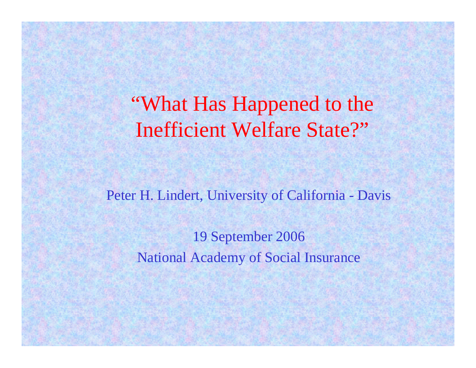"What Has Happened to the Inefficient Welfare State?"

Peter H. Lindert, University of California - Davis

19 September 2006 National Academy of Social Insurance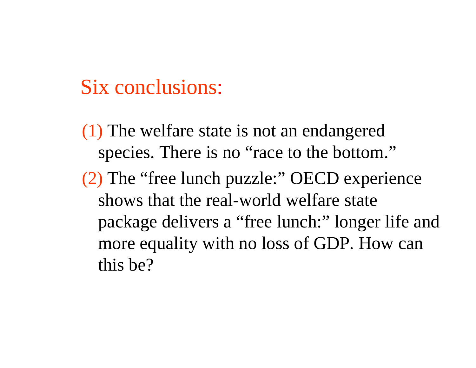# Six conclusions:

(1) The welfare state is not an endangered species. There is no "race to the bottom." (2) The "free lunch puzzle:" OECD experience shows that the real-world welfare state package delivers a "free lunch:" longer life and more equality with no loss of GDP. How can this be?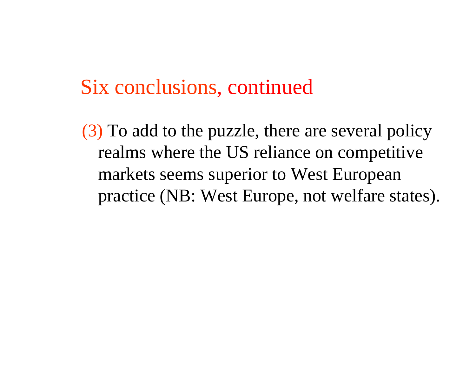(3) To add to the puzzle, there are several policy realms where the US reliance on competitive markets seems superior to West European practice (NB: West Europe, not welfare states).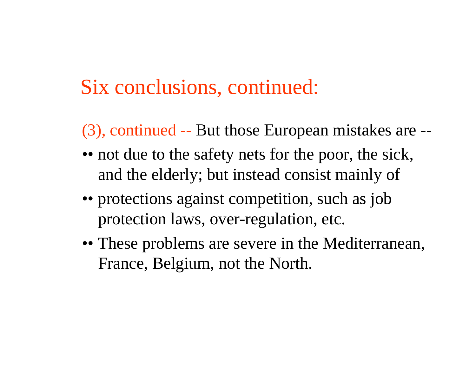- (3), continued -- But those European mistakes are --
- •• not due to the safety nets for the poor, the sick, and the elderly; but instead consist mainly of
- •• protections against competition, such as job protection laws, over-regulation, etc.
- •• These problems are severe in the Mediterranean, France, Belgium, not the North.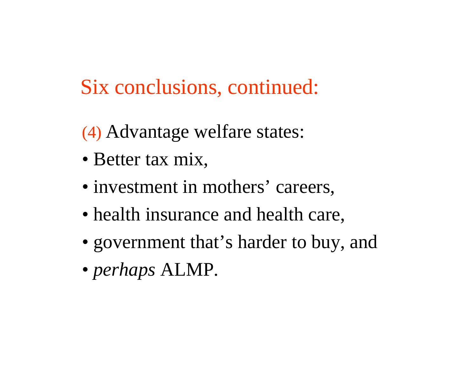- (4) Advantage welfare states:
- Better tax mix,
- investment in mothers' careers,
- health insurance and health care,
- government that's harder to buy, and
- *perhaps* ALMP.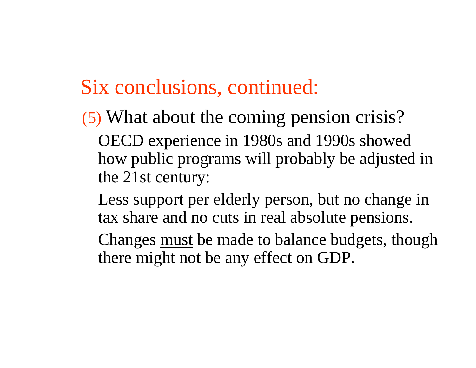- (5) What about the coming pension crisis? OECD experience in 1980s and 1990s showed how public programs will probably be adjusted in the 21st century:
	- Less support per elderly person, but no change in tax share and no cuts in real absolute pensions.
	- Changes must be made to balance budgets, though there might not be any effect on GDP.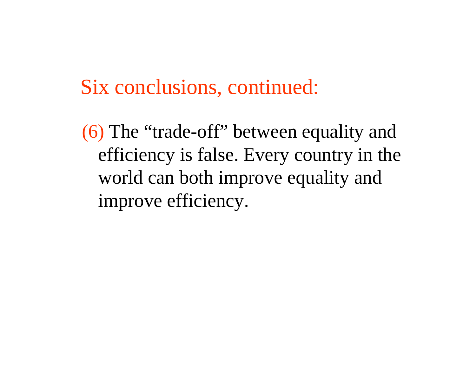(6) The "trade-off" between equality and efficiency is false. Every country in the world can both improve equality and improve efficiency.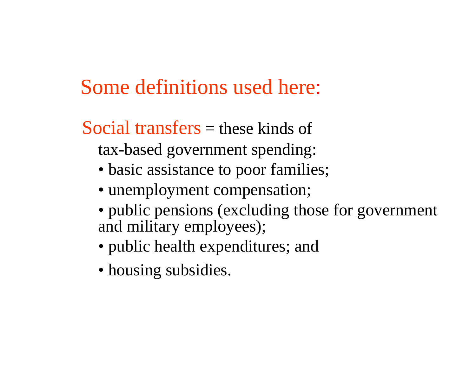# Some definitions used here:

Social transfers = these kinds of tax-based government spending:

- basic assistance to poor families;
- unemployment compensation;
- public pensions (excluding those for government and military employees);
- public health expenditures; and
- housing subsidies.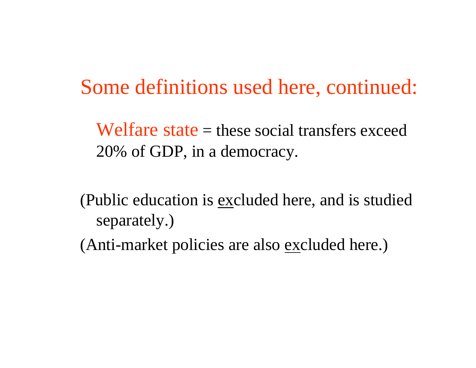Some definitions used here, continued:

Welfare state  $=$  these social transfers exceed 20% of GDP, in a democracy.

(Public education is excluded here, and is studied separately.)

(Anti-market policies are also excluded here.)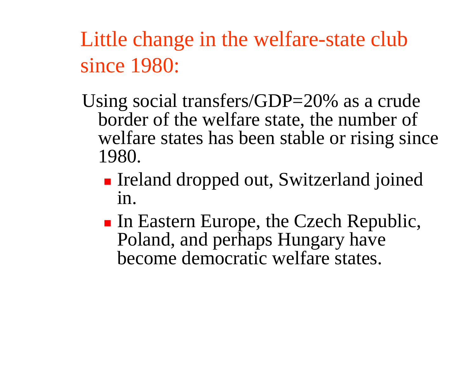Little change in the welfare-state club since 1980:

- Using social transfers/GDP=20% as a crude border of the welfare state, the number of welfare states has been stable or rising since 1980.
	- Г **Ireland dropped out, Switzerland joined** in.
	- П In Eastern Europe, the Czech Republic, Poland, and perhaps Hungary have become democratic welfare states.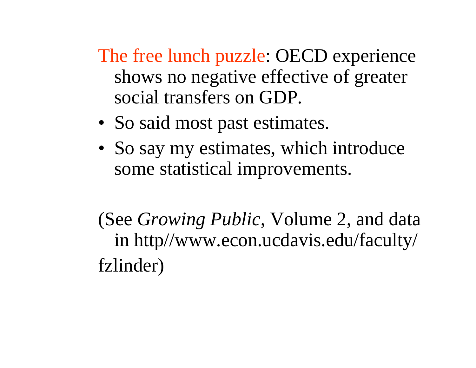The free lunch puzzle: OECD experience shows no negative effective of greater social transfers on GDP.

- So said most past estimates.
- So say my estimates, which introduce some statistical improvements.

(See *Growing Public*, Volume 2, and data in http//www.econ.ucdavis.edu/faculty/ fzlinder)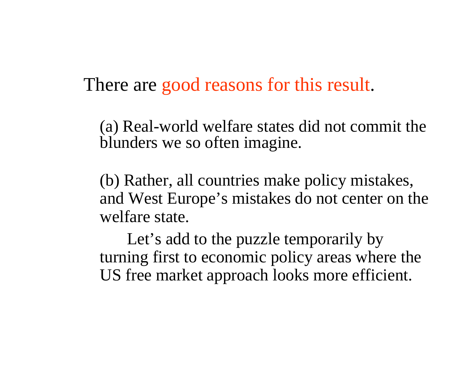There are good reasons for this result.

(a) Real-world welfare states did not commit the blunders we so often imagine.

(b) Rather, all countries make policy mistakes, and West Europe's mistakes do not center on the welfare state.

Let's add to the puzzle temporarily by turning first to economic policy areas where the US free market approach looks more efficient.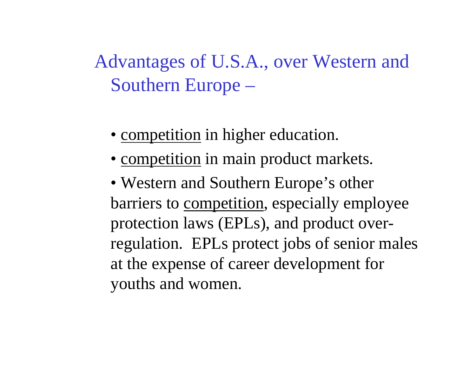Advantages of U.S.A., over Western and Southern Europe –

- competition in higher education.
- competition in main product markets.
- Western and Southern Europe's other barriers to competition, especially employee protection laws (EPLs), and product overregulation. EPLs protect jobs of senior males at the expense of career development for youths and women.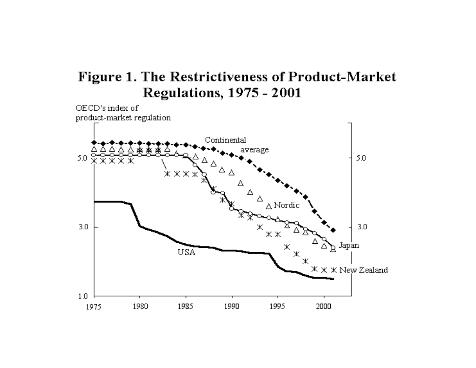#### Figure 1. The Restrictiveness of Product-Market **Regulations, 1975 - 2001**

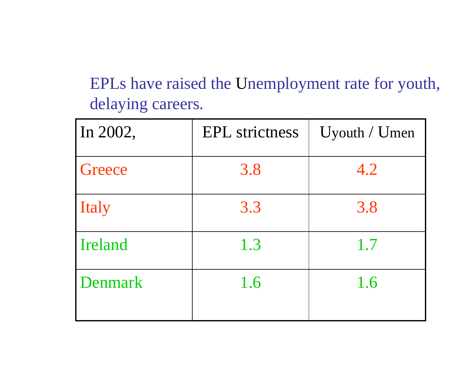EPLs have raised the Unemployment rate for youth, delaying careers.

| In 2002,       | <b>EPL</b> strictness | $U$ youth / $U$ men |
|----------------|-----------------------|---------------------|
| Greece         | 3.8                   | 4.2                 |
| Italy          | 3.3                   | 3.8                 |
| Ireland        | 1.3                   | 1.7                 |
| <b>Denmark</b> | 1.6                   | 1.6                 |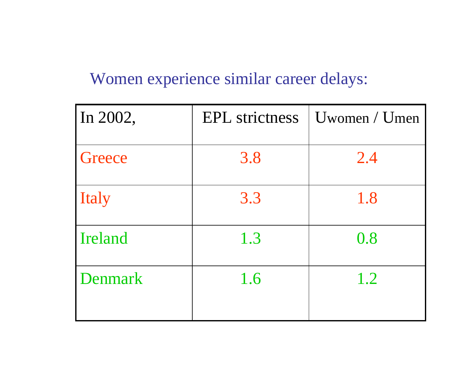### Women experience similar career delays:

| In 2002,       | <b>EPL</b> strictness | $U$ women / $U$ men |
|----------------|-----------------------|---------------------|
| Greece         | 3.8                   | 2.4                 |
| Italy          | 3.3                   | 1.8                 |
| Ireland        | 1.3                   | 0.8                 |
| <b>Denmark</b> | 1.6                   | 1.2                 |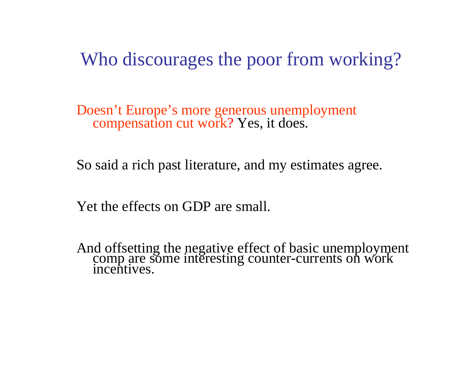Who discourages the poor from working?

Doesn't Europe's more generous unemployment compensation cut work? Yes, it does.

So said a rich past literature, and my estimates agree.

Yet the effects on GDP are small.

And offsetting the negative effect of basic unemployment comp are some interesting counter-currents on work incentives.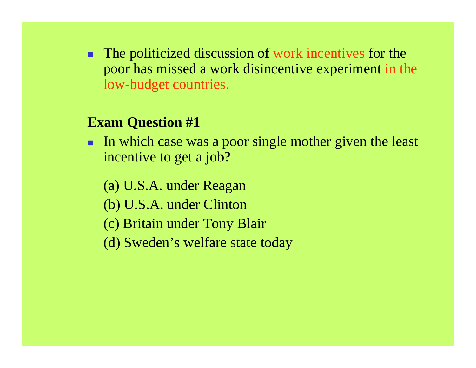. The politicized discussion of work incentives for the poor has missed a work disincentive experiment in the low-budget countries.

#### **Exam Question #1**

- In which case was a poor single mother given the <u>least</u> incentive to get a job?
	- (a) U.S.A. under Reagan
	- (b) U.S.A. under Clinton
	- (c) Britain under Tony Blair
	- (d) Sweden's welfare state today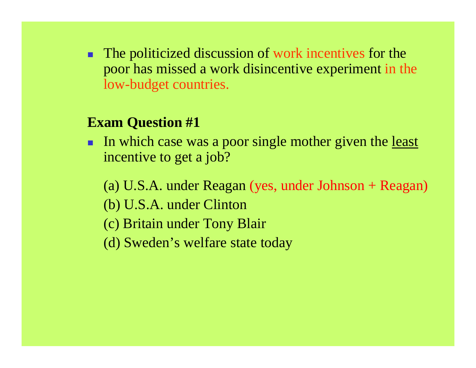. The politicized discussion of work incentives for the poor has missed a work disincentive experiment in the low-budget countries.

#### **Exam Question #1**

- In which case was a poor single mother given the <u>least</u> incentive to get a job?
	- (a) U.S.A. under Reagan (yes, under Johnson + Reagan)
	- (b) U.S.A. under Clinton
	- (c) Britain under Tony Blair
	- (d) Sweden's welfare state today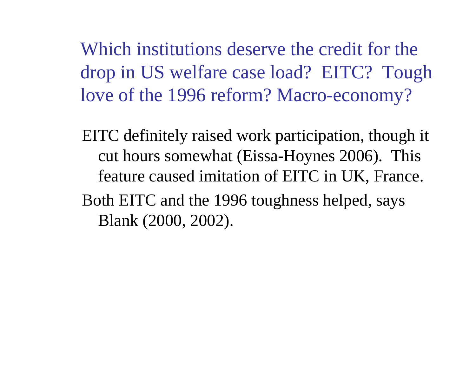Which institutions deserve the credit for the drop in US welfare case load? EITC? Tough love of the 1996 reform? Macro-economy?

EITC definitely raised work participation, though it cut hours somewhat (Eissa-Hoynes 2006). This feature caused imitation of EITC in UK, France. Both EITC and the 1996 toughness helped, says Blank (2000, 2002).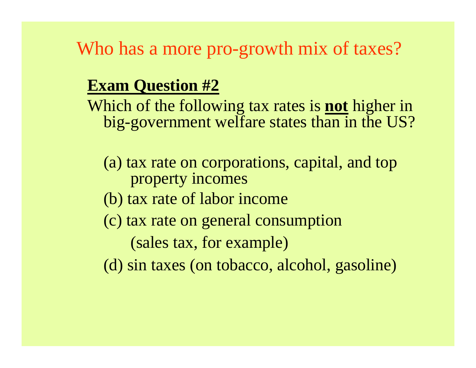Who has a more pro-growth mix of taxes?

### **Exam Question #2**

Which of the following tax rates is **not** higher in big-government welfare states than in the US?

- (a) tax rate on corporations, capital, and top property incomes
- (b) tax rate of labor income
- (c) tax rate on general consumption

(sales tax, for example)

(d) sin taxes (on tobacco, alcohol, gasoline)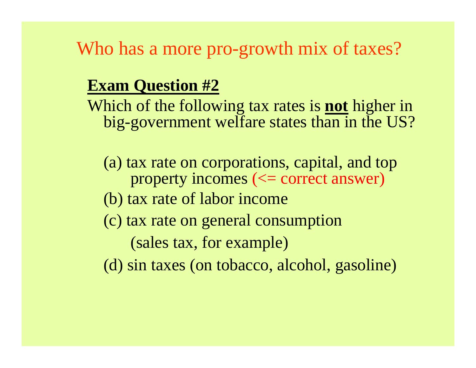Who has a more pro-growth mix of taxes?

### **Exam Question #2**

Which of the following tax rates is **not** higher in big-government welfare states than in the US?

- (a) tax rate on corporations, capital, and top property incomes ( $\le$  correct answer)
- (b) tax rate of labor income
- (c) tax rate on general consumption

(sales tax, for example)

(d) sin taxes (on tobacco, alcohol, gasoline)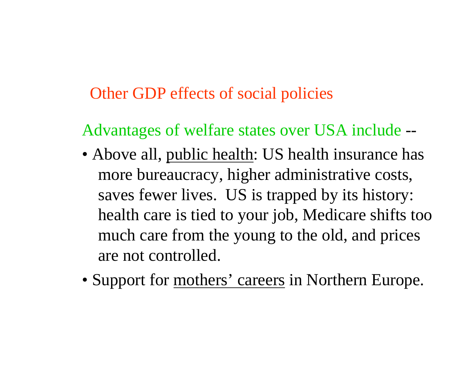### Other GDP effects of social policies

Advantages of welfare states over USA include --

- Above all, public health: US health insurance has more bureaucracy, higher administrative costs, saves fewer lives. US is trapped by its history: health care is tied to your job, Medicare shifts too much care from the young to the old, and prices are not controlled.
- Support for mothers' careers in Northern Europe.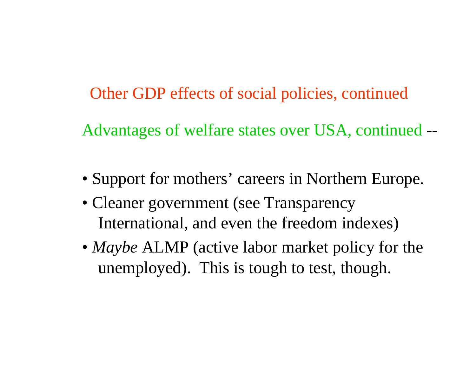Other GDP effects of social policies, continued

Advantages of welfare states over USA, continued --

- Support for mothers' careers in Northern Europe.
- Cleaner government (see Transparency International, and even the freedom indexes)
- *Maybe* ALMP (active labor market policy for the unemployed). This is tough to test, though.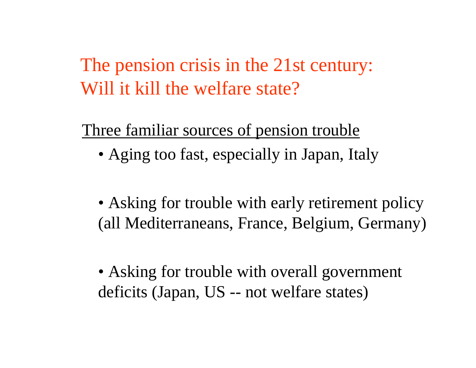The pension crisis in the 21st century: Will it kill the welfare state?

Three familiar sources of pension trouble

- Aging too fast, especially in Japan, Italy
- Asking for trouble with early retirement policy (all Mediterraneans, France, Belgium, Germany)
- Asking for trouble with overall government deficits (Japan, US - - not welfare states)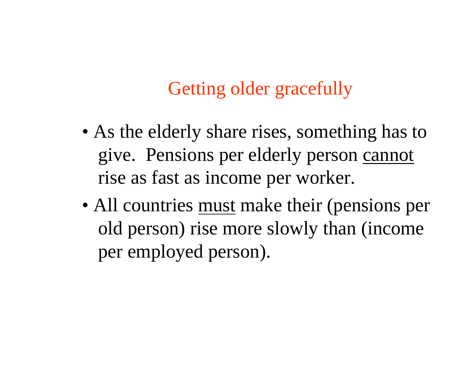## Getting older gracefully

- As the elderly share rises, something has to give. Pensions per elderly person cannot rise as fast as income per worker.
- All countries must make their (pensions per old person) rise more slowly than (income per employed person).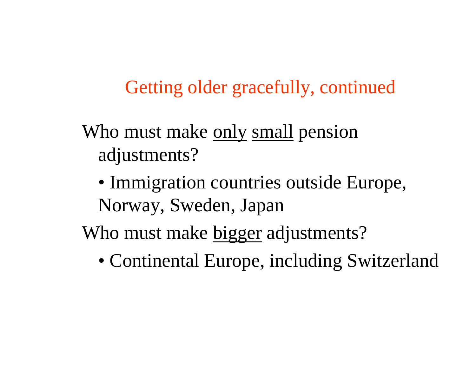Getting older gracefully, continued

- Who must make only small pension adjustments?
	- Immigration countries outside Europe, Norway, Sweden, Japan
- Who must make bigger adjustments?
	- Continental Europe, including Switzerland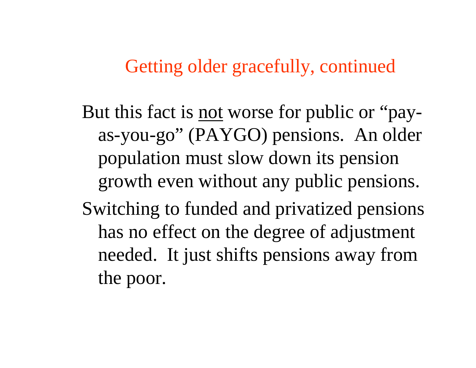### Getting older gracefully, continued

But this fact is <u>not</u> worse for public or "payas-you-go" (PAYGO) pensions. An older population must slow down its pension growth even without any public pensions. Switching to funded and privatized pensions has no effect on the degree of adjustment needed. It just shifts pensions away from the poor.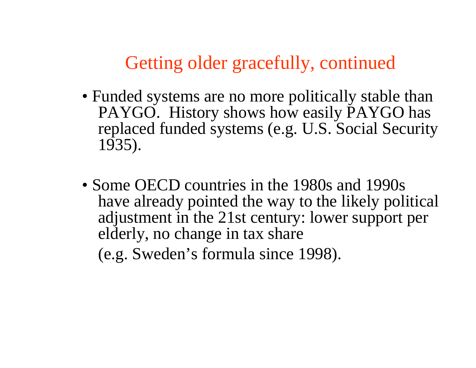Getting older gracefully, continued

- Funded systems are no more politically stable than PAYGO. History shows how easily PAYGO has replaced funded systems (e.g. U.S. Social Security 1935).
- Some OECD countries in the 1980s and 1990s have already pointed the way to the likely political adjustment in the 21st century: lower support per elderly, no change in tax share (e.g. Sweden's formula since 1998).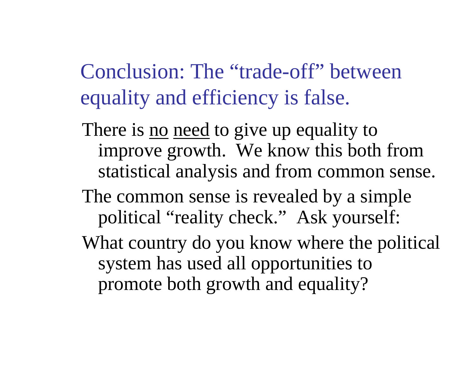Conclusion: The "trade-off" between equality and efficiency is false.

- There is <u>no</u> need to give up equality to improve growth. We know this both from statistical analysis and from common sense.
- The common sense is revealed by a simple political "reality check." Ask yourself:
- What country do you know where the political system has used all opportunities to promote both growth and equality?